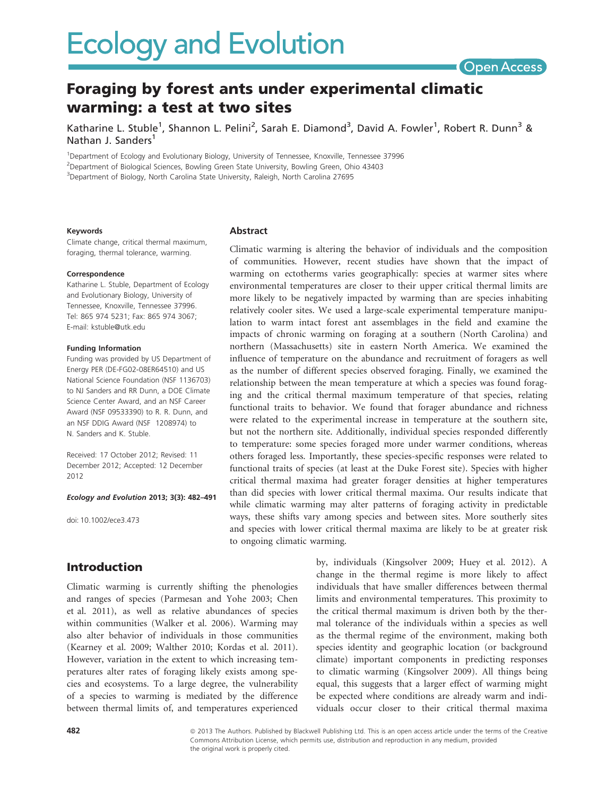

# Foraging by forest ants under experimental climatic warming: a test at two sites

Katharine L. Stuble<sup>1</sup>, Shannon L. Pelini<sup>2</sup>, Sarah E. Diamond<sup>3</sup>, David A. Fowler<sup>1</sup>, Robert R. Dunn<sup>3</sup> & Nathan J. Sanders<sup>1</sup>

<sup>1</sup>Department of Ecology and Evolutionary Biology, University of Tennessee, Knoxville, Tennessee 37996 <sup>2</sup>Department of Biological Sciences, Bowling Green State University, Bowling Green, Ohio 43403 <sup>3</sup>Department of Biology, North Carolina State University, Raleigh, North Carolina 27695

#### Keywords

Climate change, critical thermal maximum, foraging, thermal tolerance, warming.

#### Correspondence

Katharine L. Stuble, Department of Ecology and Evolutionary Biology, University of Tennessee, Knoxville, Tennessee 37996. Tel: 865 974 5231; Fax: 865 974 3067; E-mail: kstuble@utk.edu

#### Funding Information

Funding was provided by US Department of Energy PER (DE-FG02-08ER64510) and US National Science Foundation (NSF 1136703) to NJ Sanders and RR Dunn, a DOE Climate Science Center Award, and an NSF Career Award (NSF 09533390) to R. R. Dunn, and an NSF DDIG Award (NSF 1208974) to N. Sanders and K. Stuble.

Received: 17 October 2012; Revised: 11 December 2012; Accepted: 12 December 2012

#### Ecology and Evolution 2013; 3(3): 482–491

doi: 10.1002/ece3.473

# Introduction

Climatic warming is currently shifting the phenologies and ranges of species (Parmesan and Yohe 2003; Chen et al. 2011), as well as relative abundances of species within communities (Walker et al. 2006). Warming may also alter behavior of individuals in those communities (Kearney et al. 2009; Walther 2010; Kordas et al. 2011). However, variation in the extent to which increasing temperatures alter rates of foraging likely exists among species and ecosystems. To a large degree, the vulnerability of a species to warming is mediated by the difference between thermal limits of, and temperatures experienced

### Abstract

Climatic warming is altering the behavior of individuals and the composition of communities. However, recent studies have shown that the impact of warming on ectotherms varies geographically: species at warmer sites where environmental temperatures are closer to their upper critical thermal limits are more likely to be negatively impacted by warming than are species inhabiting relatively cooler sites. We used a large-scale experimental temperature manipulation to warm intact forest ant assemblages in the field and examine the impacts of chronic warming on foraging at a southern (North Carolina) and northern (Massachusetts) site in eastern North America. We examined the influence of temperature on the abundance and recruitment of foragers as well as the number of different species observed foraging. Finally, we examined the relationship between the mean temperature at which a species was found foraging and the critical thermal maximum temperature of that species, relating functional traits to behavior. We found that forager abundance and richness were related to the experimental increase in temperature at the southern site, but not the northern site. Additionally, individual species responded differently to temperature: some species foraged more under warmer conditions, whereas others foraged less. Importantly, these species-specific responses were related to functional traits of species (at least at the Duke Forest site). Species with higher critical thermal maxima had greater forager densities at higher temperatures than did species with lower critical thermal maxima. Our results indicate that while climatic warming may alter patterns of foraging activity in predictable ways, these shifts vary among species and between sites. More southerly sites and species with lower critical thermal maxima are likely to be at greater risk to ongoing climatic warming.

> by, individuals (Kingsolver 2009; Huey et al. 2012). A change in the thermal regime is more likely to affect individuals that have smaller differences between thermal limits and environmental temperatures. This proximity to the critical thermal maximum is driven both by the thermal tolerance of the individuals within a species as well as the thermal regime of the environment, making both species identity and geographic location (or background climate) important components in predicting responses to climatic warming (Kingsolver 2009). All things being equal, this suggests that a larger effect of warming might be expected where conditions are already warm and individuals occur closer to their critical thermal maxima

482 **482 a** 2013 The Authors. Published by Blackwell Publishing Ltd. This is an open access article under the terms of the Creative Commons Attribution License, which permits use, distribution and reproduction in any medium, provided the original work is properly cited.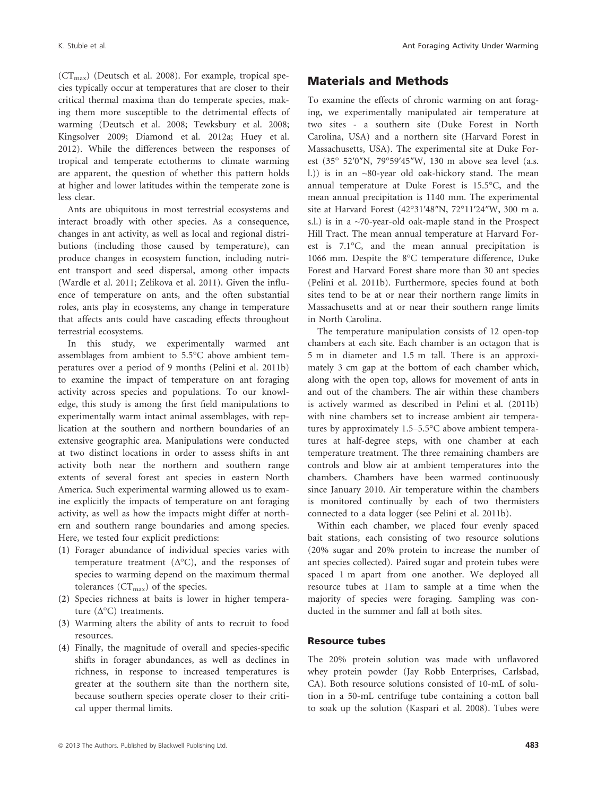$(CT_{max})$  (Deutsch et al. 2008). For example, tropical species typically occur at temperatures that are closer to their critical thermal maxima than do temperate species, making them more susceptible to the detrimental effects of warming (Deutsch et al. 2008; Tewksbury et al. 2008; Kingsolver 2009; Diamond et al. 2012a; Huey et al. 2012). While the differences between the responses of tropical and temperate ectotherms to climate warming are apparent, the question of whether this pattern holds at higher and lower latitudes within the temperate zone is less clear.

Ants are ubiquitous in most terrestrial ecosystems and interact broadly with other species. As a consequence, changes in ant activity, as well as local and regional distributions (including those caused by temperature), can produce changes in ecosystem function, including nutrient transport and seed dispersal, among other impacts (Wardle et al. 2011; Zelikova et al. 2011). Given the influence of temperature on ants, and the often substantial roles, ants play in ecosystems, any change in temperature that affects ants could have cascading effects throughout terrestrial ecosystems.

In this study, we experimentally warmed ant assemblages from ambient to 5.5°C above ambient temperatures over a period of 9 months (Pelini et al. 2011b) to examine the impact of temperature on ant foraging activity across species and populations. To our knowledge, this study is among the first field manipulations to experimentally warm intact animal assemblages, with replication at the southern and northern boundaries of an extensive geographic area. Manipulations were conducted at two distinct locations in order to assess shifts in ant activity both near the northern and southern range extents of several forest ant species in eastern North America. Such experimental warming allowed us to examine explicitly the impacts of temperature on ant foraging activity, as well as how the impacts might differ at northern and southern range boundaries and among species. Here, we tested four explicit predictions:

- (1) Forager abundance of individual species varies with temperature treatment  $(Δ<sup>o</sup>C)$ , and the responses of species to warming depend on the maximum thermal tolerances  $(CT_{max})$  of the species.
- (2) Species richness at baits is lower in higher temperature (Δ°C) treatments.
- (3) Warming alters the ability of ants to recruit to food resources.
- (4) Finally, the magnitude of overall and species-specific shifts in forager abundances, as well as declines in richness, in response to increased temperatures is greater at the southern site than the northern site, because southern species operate closer to their critical upper thermal limits.

# Materials and Methods

To examine the effects of chronic warming on ant foraging, we experimentally manipulated air temperature at two sites - a southern site (Duke Forest in North Carolina, USA) and a northern site (Harvard Forest in Massachusetts, USA). The experimental site at Duke Forest (35° 52′0″N, 79°59′45″W, 130 m above sea level (a.s. l.)) is in an ~80-year old oak-hickory stand. The mean annual temperature at Duke Forest is 15.5°C, and the mean annual precipitation is 1140 mm. The experimental site at Harvard Forest (42°31′48″N, 72°11′24″W, 300 m a. s.l.) is in a ~70-year-old oak-maple stand in the Prospect Hill Tract. The mean annual temperature at Harvard Forest is 7.1°C, and the mean annual precipitation is 1066 mm. Despite the 8°C temperature difference, Duke Forest and Harvard Forest share more than 30 ant species (Pelini et al. 2011b). Furthermore, species found at both sites tend to be at or near their northern range limits in Massachusetts and at or near their southern range limits in North Carolina.

The temperature manipulation consists of 12 open-top chambers at each site. Each chamber is an octagon that is 5 m in diameter and 1.5 m tall. There is an approximately 3 cm gap at the bottom of each chamber which, along with the open top, allows for movement of ants in and out of the chambers. The air within these chambers is actively warmed as described in Pelini et al. (2011b) with nine chambers set to increase ambient air temperatures by approximately 1.5–5.5°C above ambient temperatures at half-degree steps, with one chamber at each temperature treatment. The three remaining chambers are controls and blow air at ambient temperatures into the chambers. Chambers have been warmed continuously since January 2010. Air temperature within the chambers is monitored continually by each of two thermisters connected to a data logger (see Pelini et al. 2011b).

Within each chamber, we placed four evenly spaced bait stations, each consisting of two resource solutions (20% sugar and 20% protein to increase the number of ant species collected). Paired sugar and protein tubes were spaced 1 m apart from one another. We deployed all resource tubes at 11am to sample at a time when the majority of species were foraging. Sampling was conducted in the summer and fall at both sites.

### Resource tubes

The 20% protein solution was made with unflavored whey protein powder (Jay Robb Enterprises, Carlsbad, CA). Both resource solutions consisted of 10-mL of solution in a 50-mL centrifuge tube containing a cotton ball to soak up the solution (Kaspari et al. 2008). Tubes were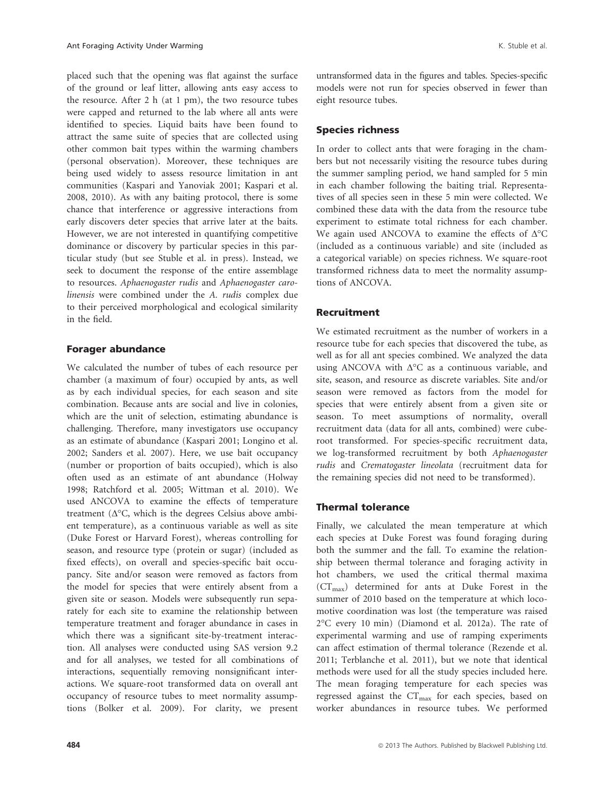placed such that the opening was flat against the surface of the ground or leaf litter, allowing ants easy access to the resource. After 2 h (at 1 pm), the two resource tubes were capped and returned to the lab where all ants were identified to species. Liquid baits have been found to attract the same suite of species that are collected using other common bait types within the warming chambers (personal observation). Moreover, these techniques are being used widely to assess resource limitation in ant communities (Kaspari and Yanoviak 2001; Kaspari et al. 2008, 2010). As with any baiting protocol, there is some chance that interference or aggressive interactions from early discovers deter species that arrive later at the baits. However, we are not interested in quantifying competitive dominance or discovery by particular species in this particular study (but see Stuble et al. in press). Instead, we seek to document the response of the entire assemblage to resources. Aphaenogaster rudis and Aphaenogaster carolinensis were combined under the A. rudis complex due to their perceived morphological and ecological similarity in the field.

#### Forager abundance

We calculated the number of tubes of each resource per chamber (a maximum of four) occupied by ants, as well as by each individual species, for each season and site combination. Because ants are social and live in colonies, which are the unit of selection, estimating abundance is challenging. Therefore, many investigators use occupancy as an estimate of abundance (Kaspari 2001; Longino et al. 2002; Sanders et al. 2007). Here, we use bait occupancy (number or proportion of baits occupied), which is also often used as an estimate of ant abundance (Holway 1998; Ratchford et al. 2005; Wittman et al. 2010). We used ANCOVA to examine the effects of temperature treatment  $(\Delta^{\circ}C,$  which is the degrees Celsius above ambient temperature), as a continuous variable as well as site (Duke Forest or Harvard Forest), whereas controlling for season, and resource type (protein or sugar) (included as fixed effects), on overall and species-specific bait occupancy. Site and/or season were removed as factors from the model for species that were entirely absent from a given site or season. Models were subsequently run separately for each site to examine the relationship between temperature treatment and forager abundance in cases in which there was a significant site-by-treatment interaction. All analyses were conducted using SAS version 9.2 and for all analyses, we tested for all combinations of interactions, sequentially removing nonsignificant interactions. We square-root transformed data on overall ant occupancy of resource tubes to meet normality assumptions (Bolker et al. 2009). For clarity, we present untransformed data in the figures and tables. Species-specific models were not run for species observed in fewer than eight resource tubes.

### Species richness

In order to collect ants that were foraging in the chambers but not necessarily visiting the resource tubes during the summer sampling period, we hand sampled for 5 min in each chamber following the baiting trial. Representatives of all species seen in these 5 min were collected. We combined these data with the data from the resource tube experiment to estimate total richness for each chamber. We again used ANCOVA to examine the effects of Δ°C (included as a continuous variable) and site (included as a categorical variable) on species richness. We square-root transformed richness data to meet the normality assumptions of ANCOVA.

# Recruitment

We estimated recruitment as the number of workers in a resource tube for each species that discovered the tube, as well as for all ant species combined. We analyzed the data using ANCOVA with  $\Delta$ °C as a continuous variable, and site, season, and resource as discrete variables. Site and/or season were removed as factors from the model for species that were entirely absent from a given site or season. To meet assumptions of normality, overall recruitment data (data for all ants, combined) were cuberoot transformed. For species-specific recruitment data, we log-transformed recruitment by both Aphaenogaster rudis and Crematogaster lineolata (recruitment data for the remaining species did not need to be transformed).

#### Thermal tolerance

Finally, we calculated the mean temperature at which each species at Duke Forest was found foraging during both the summer and the fall. To examine the relationship between thermal tolerance and foraging activity in hot chambers, we used the critical thermal maxima  $(CT<sub>max</sub>)$  determined for ants at Duke Forest in the summer of 2010 based on the temperature at which locomotive coordination was lost (the temperature was raised 2°C every 10 min) (Diamond et al. 2012a). The rate of experimental warming and use of ramping experiments can affect estimation of thermal tolerance (Rezende et al. 2011; Terblanche et al. 2011), but we note that identical methods were used for all the study species included here. The mean foraging temperature for each species was regressed against the CT<sub>max</sub> for each species, based on worker abundances in resource tubes. We performed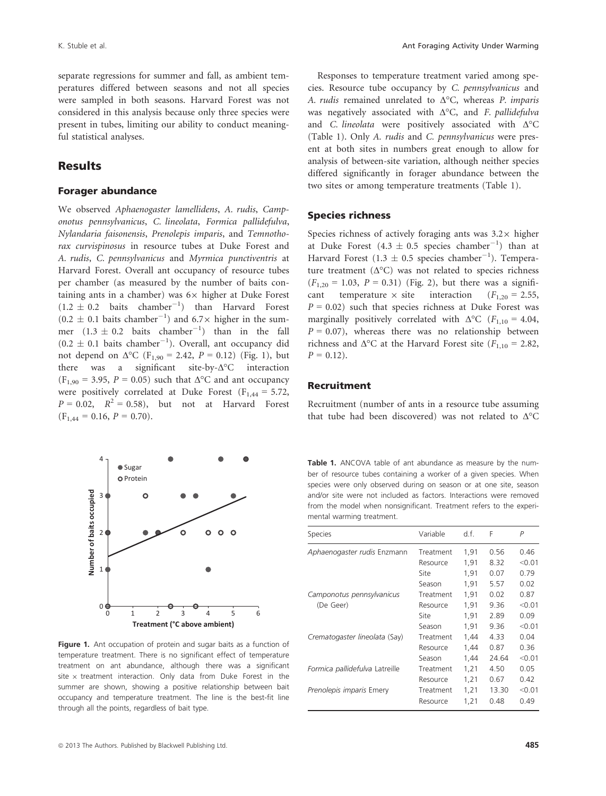separate regressions for summer and fall, as ambient temperatures differed between seasons and not all species were sampled in both seasons. Harvard Forest was not considered in this analysis because only three species were present in tubes, limiting our ability to conduct meaningful statistical analyses.

# Results

### Forager abundance

We observed Aphaenogaster lamellidens, A. rudis, Camponotus pennsylvanicus, C. lineolata, Formica pallidefulva, Nylandaria faisonensis, Prenolepis imparis, and Temnothorax curvispinosus in resource tubes at Duke Forest and A. rudis, C. pennsylvanicus and Myrmica punctiventris at Harvard Forest. Overall ant occupancy of resource tubes per chamber (as measured by the number of baits containing ants in a chamber) was  $6 \times$  higher at Duke Forest  $(1.2 \pm 0.2 \text{ baits} \text{ chamber}^{-1})$  than Harvard Forest  $(0.2 \pm 0.1 \text{ pairs } \text{chamber}^{-1})$  and  $6.7 \times \text{ higher in the sum-}$ mer  $(1.3 \pm 0.2 \text{ baits } \text{chamber}^{-1})$  than in the fall  $(0.2 \pm 0.1 \text{ baits chamber}^{-1})$ . Overall, ant occupancy did not depend on Δ°C (F<sub>1,90</sub> = 2.42, *P* = 0.12) (Fig. 1), but there was a significant site-by-Δ°C interaction  $(F<sub>1.90</sub> = 3.95, P = 0.05)$  such that  $\Delta$ <sup>o</sup>C and ant occupancy were positively correlated at Duke Forest  $(F<sub>1,44</sub> = 5.72)$ ,  $P = 0.02$ ,  $R^2 = 0.58$ , but not at Harvard Forest  $(F<sub>1.44</sub> = 0.16, P = 0.70).$ 



Figure 1. Ant occupation of protein and sugar baits as a function of temperature treatment. There is no significant effect of temperature treatment on ant abundance, although there was a significant site  $\times$  treatment interaction. Only data from Duke Forest in the summer are shown, showing a positive relationship between bait occupancy and temperature treatment. The line is the best-fit line through all the points, regardless of bait type.

Responses to temperature treatment varied among species. Resource tube occupancy by C. pennsylvanicus and A. rudis remained unrelated to Δ°C, whereas P. imparis was negatively associated with  $\Delta$ °C, and F. pallidefulva and C. lineolata were positively associated with Δ°C (Table 1). Only A. rudis and C. pennsylvanicus were present at both sites in numbers great enough to allow for analysis of between-site variation, although neither species differed significantly in forager abundance between the two sites or among temperature treatments (Table 1).

#### Species richness

Species richness of actively foraging ants was  $3.2 \times$  higher at Duke Forest  $(4.3 \pm 0.5$  species chamber<sup>-1</sup>) than at Harvard Forest  $(1.3 \pm 0.5 \text{ species chamber}^{-1})$ . Temperature treatment (Δ°C) was not related to species richness  $(F_{1,20} = 1.03, P = 0.31)$  (Fig. 2), but there was a significant temperature  $\times$  site interaction ( $F_{1,20} = 2.55$ ,  $P = 0.02$ ) such that species richness at Duke Forest was marginally positively correlated with  $\Delta^{\circ}C$  ( $F_{1,10} = 4.04$ ,  $P = 0.07$ ), whereas there was no relationship between richness and  $\Delta$ °C at the Harvard Forest site ( $F_{1,10} = 2.82$ ,  $P = 0.12$ .

#### Recruitment

Recruitment (number of ants in a resource tube assuming that tube had been discovered) was not related to Δ°C

Table 1. ANCOVA table of ant abundance as measure by the number of resource tubes containing a worker of a given species. When species were only observed during on season or at one site, season and/or site were not included as factors. Interactions were removed from the model when nonsignificant. Treatment refers to the experimental warming treatment.

| <b>Species</b>                         | Variable  | d f  | F     | P      |
|----------------------------------------|-----------|------|-------|--------|
| Aphaenogaster rudis Enzmann            | Treatment | 1,91 | 0.56  | 0.46   |
|                                        | Resource  | 1,91 | 8.32  | < 0.01 |
|                                        | Site      | 1,91 | 0.07  | 0.79   |
|                                        | Season    | 1,91 | 5.57  | 0.02   |
| Camponotus pennsylvanicus<br>(De Geer) | Treatment | 1,91 | 0.02  | 0.87   |
|                                        | Resource  | 1.91 | 9.36  | < 0.01 |
|                                        | Site      | 1.91 | 2.89  | 0.09   |
|                                        | Season    | 1.91 | 9.36  | < 0.01 |
| Crematogaster lineolata (Say)          | Treatment | 1,44 | 4.33  | 0.04   |
|                                        | Resource  | 1,44 | 0.87  | 0.36   |
|                                        | Season    | 1,44 | 24.64 | < 0.01 |
| <i>Formica pallidefulva</i> Latreille  | Treatment | 1,21 | 4.50  | 0.05   |
|                                        | Resource  | 1.21 | 0.67  | 0.42   |
| Prenolepis imparis Emery               | Treatment | 1,21 | 13.30 | < 0.01 |
|                                        | Resource  | 1,21 | 0.48  | 0.49   |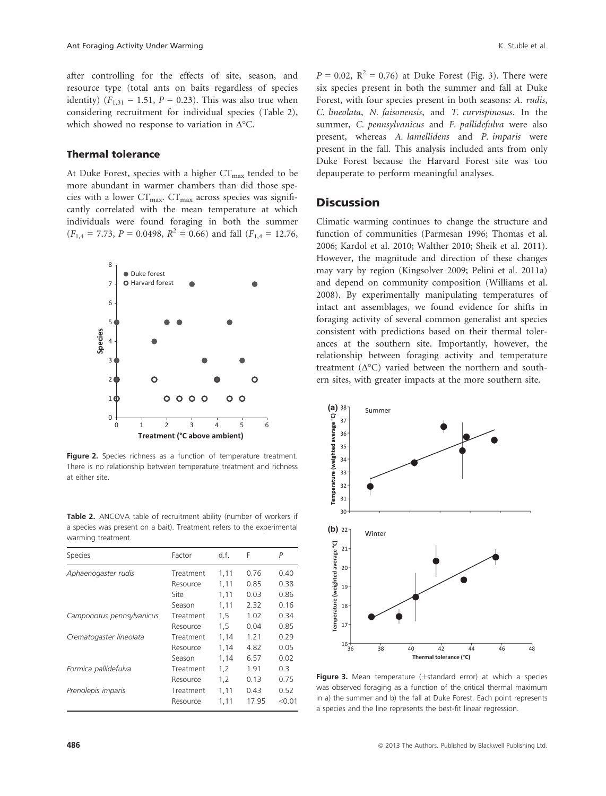after controlling for the effects of site, season, and resource type (total ants on baits regardless of species identity)  $(F_{1,31} = 1.51, P = 0.23)$ . This was also true when considering recruitment for individual species (Table 2), which showed no response to variation in Δ°C.

### Thermal tolerance

At Duke Forest, species with a higher  $CT_{\text{max}}$  tended to be more abundant in warmer chambers than did those species with a lower  $CT_{\text{max}}$ .  $CT_{\text{max}}$  across species was significantly correlated with the mean temperature at which individuals were found foraging in both the summer  $(F_{1,4} = 7.73, P = 0.0498, R^2 = 0.66)$  and fall  $(F_{1,4} = 12.76,$ 



Figure 2. Species richness as a function of temperature treatment. There is no relationship between temperature treatment and richness at either site.

Table 2. ANCOVA table of recruitment ability (number of workers if a species was present on a bait). Treatment refers to the experimental warming treatment.

| Species                   | Factor    | df.  | F     | Ρ      |
|---------------------------|-----------|------|-------|--------|
| Aphaenogaster rudis       | Treatment | 1,11 | 0.76  | 0.40   |
|                           | Resource  | 1,11 | 0.85  | 0.38   |
|                           | Site      | 1,11 | 0.03  | 0.86   |
|                           | Season    | 1,11 | 2.32  | 0.16   |
| Camponotus pennsylvanicus | Treatment | 1,5  | 1.02  | 0.34   |
|                           | Resource  | 1,5  | 0.04  | 0.85   |
| Crematogaster lineolata   | Treatment | 1,14 | 1.21  | 0.29   |
|                           | Resource  | 1,14 | 4.82  | 0.05   |
|                           | Season    | 1,14 | 6.57  | 0.02   |
| Formica pallidefulva      | Treatment | 1,2  | 1.91  | 0.3    |
|                           | Resource  | 1,2  | 0.13  | 0.75   |
| Prenolepis imparis        | Treatment | 1,11 | 0.43  | 0.52   |
|                           | Resource  | 1,11 | 17.95 | < 0.01 |

 $P = 0.02$ ,  $R^2 = 0.76$ ) at Duke Forest (Fig. 3). There were six species present in both the summer and fall at Duke Forest, with four species present in both seasons: A. rudis, C. lineolata, N. faisonensis, and T. curvispinosus. In the summer, C. pennsylvanicus and F. pallidefulva were also present, whereas A. lamellidens and P. imparis were present in the fall. This analysis included ants from only Duke Forest because the Harvard Forest site was too depauperate to perform meaningful analyses.

# **Discussion**

Climatic warming continues to change the structure and function of communities (Parmesan 1996; Thomas et al. 2006; Kardol et al. 2010; Walther 2010; Sheik et al. 2011). However, the magnitude and direction of these changes may vary by region (Kingsolver 2009; Pelini et al. 2011a) and depend on community composition (Williams et al. 2008). By experimentally manipulating temperatures of intact ant assemblages, we found evidence for shifts in foraging activity of several common generalist ant species consistent with predictions based on their thermal tolerances at the southern site. Importantly, however, the relationship between foraging activity and temperature treatment (Δ°C) varied between the northern and southern sites, with greater impacts at the more southern site.



Figure 3. Mean temperature  $(\pm$ standard error) at which a species was observed foraging as a function of the critical thermal maximum in a) the summer and b) the fall at Duke Forest. Each point represents a species and the line represents the best-fit linear regression.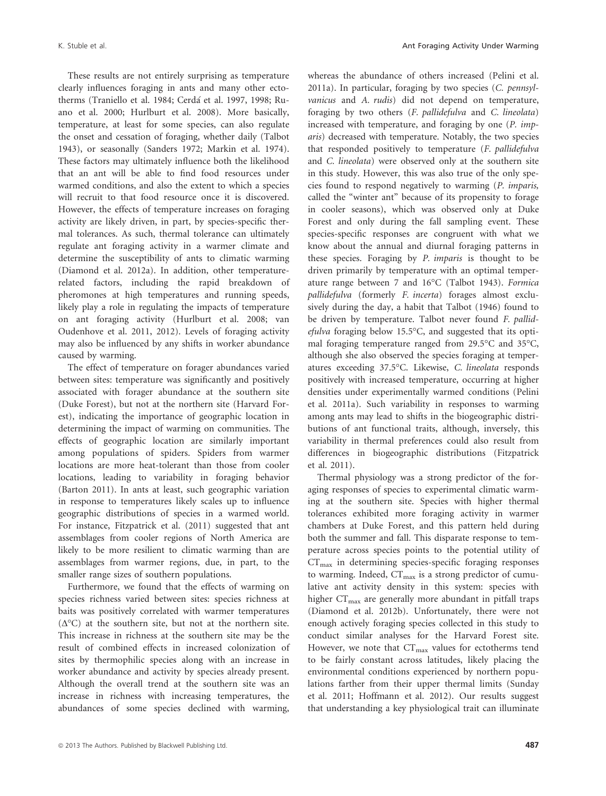These results are not entirely surprising as temperature clearly influences foraging in ants and many other ectotherms (Traniello et al. 1984; Cerdá et al. 1997, 1998; Ruano et al. 2000; Hurlburt et al. 2008). More basically, temperature, at least for some species, can also regulate the onset and cessation of foraging, whether daily (Talbot 1943), or seasonally (Sanders 1972; Markin et al. 1974). These factors may ultimately influence both the likelihood that an ant will be able to find food resources under warmed conditions, and also the extent to which a species will recruit to that food resource once it is discovered. However, the effects of temperature increases on foraging activity are likely driven, in part, by species-specific thermal tolerances. As such, thermal tolerance can ultimately regulate ant foraging activity in a warmer climate and determine the susceptibility of ants to climatic warming (Diamond et al. 2012a). In addition, other temperaturerelated factors, including the rapid breakdown of pheromones at high temperatures and running speeds, likely play a role in regulating the impacts of temperature on ant foraging activity (Hurlburt et al. 2008; van Oudenhove et al. 2011, 2012). Levels of foraging activity may also be influenced by any shifts in worker abundance caused by warming.

The effect of temperature on forager abundances varied between sites: temperature was significantly and positively associated with forager abundance at the southern site (Duke Forest), but not at the northern site (Harvard Forest), indicating the importance of geographic location in determining the impact of warming on communities. The effects of geographic location are similarly important among populations of spiders. Spiders from warmer locations are more heat-tolerant than those from cooler locations, leading to variability in foraging behavior (Barton 2011). In ants at least, such geographic variation in response to temperatures likely scales up to influence geographic distributions of species in a warmed world. For instance, Fitzpatrick et al. (2011) suggested that ant assemblages from cooler regions of North America are likely to be more resilient to climatic warming than are assemblages from warmer regions, due, in part, to the smaller range sizes of southern populations.

Furthermore, we found that the effects of warming on species richness varied between sites: species richness at baits was positively correlated with warmer temperatures  $(\Delta^{\circ}C)$  at the southern site, but not at the northern site. This increase in richness at the southern site may be the result of combined effects in increased colonization of sites by thermophilic species along with an increase in worker abundance and activity by species already present. Although the overall trend at the southern site was an increase in richness with increasing temperatures, the abundances of some species declined with warming, whereas the abundance of others increased (Pelini et al. 2011a). In particular, foraging by two species (C. pennsylvanicus and A. rudis) did not depend on temperature, foraging by two others (F. pallidefulva and C. lineolata) increased with temperature, and foraging by one (P. imparis) decreased with temperature. Notably, the two species that responded positively to temperature (F. pallidefulva and C. lineolata) were observed only at the southern site in this study. However, this was also true of the only species found to respond negatively to warming (P. imparis, called the "winter ant" because of its propensity to forage in cooler seasons), which was observed only at Duke Forest and only during the fall sampling event. These species-specific responses are congruent with what we know about the annual and diurnal foraging patterns in these species. Foraging by P. imparis is thought to be driven primarily by temperature with an optimal temperature range between 7 and 16°C (Talbot 1943). Formica pallidefulva (formerly F. incerta) forages almost exclusively during the day, a habit that Talbot (1946) found to be driven by temperature. Talbot never found F. pallidefulva foraging below 15.5°C, and suggested that its optimal foraging temperature ranged from 29.5°C and 35°C, although she also observed the species foraging at temperatures exceeding 37.5°C. Likewise, C. lineolata responds positively with increased temperature, occurring at higher densities under experimentally warmed conditions (Pelini et al. 2011a). Such variability in responses to warming among ants may lead to shifts in the biogeographic distributions of ant functional traits, although, inversely, this variability in thermal preferences could also result from differences in biogeographic distributions (Fitzpatrick et al. 2011).

Thermal physiology was a strong predictor of the foraging responses of species to experimental climatic warming at the southern site. Species with higher thermal tolerances exhibited more foraging activity in warmer chambers at Duke Forest, and this pattern held during both the summer and fall. This disparate response to temperature across species points to the potential utility of  $CT<sub>max</sub>$  in determining species-specific foraging responses to warming. Indeed,  $CT_{\text{max}}$  is a strong predictor of cumulative ant activity density in this system: species with higher  $CT_{\text{max}}$  are generally more abundant in pitfall traps (Diamond et al. 2012b). Unfortunately, there were not enough actively foraging species collected in this study to conduct similar analyses for the Harvard Forest site. However, we note that  $CT_{\text{max}}$  values for ectotherms tend to be fairly constant across latitudes, likely placing the environmental conditions experienced by northern populations farther from their upper thermal limits (Sunday et al. 2011; Hoffmann et al. 2012). Our results suggest that understanding a key physiological trait can illuminate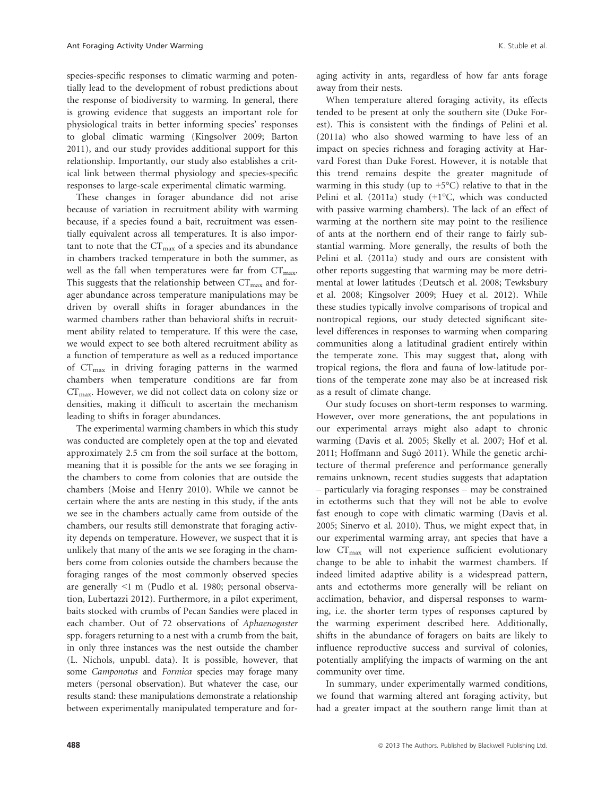species-specific responses to climatic warming and potentially lead to the development of robust predictions about the response of biodiversity to warming. In general, there is growing evidence that suggests an important role for physiological traits in better informing species' responses to global climatic warming (Kingsolver 2009; Barton 2011), and our study provides additional support for this relationship. Importantly, our study also establishes a critical link between thermal physiology and species-specific responses to large-scale experimental climatic warming.

These changes in forager abundance did not arise because of variation in recruitment ability with warming because, if a species found a bait, recruitment was essentially equivalent across all temperatures. It is also important to note that the  $CT_{\text{max}}$  of a species and its abundance in chambers tracked temperature in both the summer, as well as the fall when temperatures were far from  $CT_{\text{max}}$ . This suggests that the relationship between  $CT_{\text{max}}$  and forager abundance across temperature manipulations may be driven by overall shifts in forager abundances in the warmed chambers rather than behavioral shifts in recruitment ability related to temperature. If this were the case, we would expect to see both altered recruitment ability as a function of temperature as well as a reduced importance of  $CT_{\text{max}}$  in driving foraging patterns in the warmed chambers when temperature conditions are far from  $CT_{\text{max}}$ . However, we did not collect data on colony size or densities, making it difficult to ascertain the mechanism leading to shifts in forager abundances.

The experimental warming chambers in which this study was conducted are completely open at the top and elevated approximately 2.5 cm from the soil surface at the bottom, meaning that it is possible for the ants we see foraging in the chambers to come from colonies that are outside the chambers (Moise and Henry 2010). While we cannot be certain where the ants are nesting in this study, if the ants we see in the chambers actually came from outside of the chambers, our results still demonstrate that foraging activity depends on temperature. However, we suspect that it is unlikely that many of the ants we see foraging in the chambers come from colonies outside the chambers because the foraging ranges of the most commonly observed species are generally <1 m (Pudlo et al. 1980; personal observation, Lubertazzi 2012). Furthermore, in a pilot experiment, baits stocked with crumbs of Pecan Sandies were placed in each chamber. Out of 72 observations of Aphaenogaster spp. foragers returning to a nest with a crumb from the bait, in only three instances was the nest outside the chamber (L. Nichols, unpubl. data). It is possible, however, that some Camponotus and Formica species may forage many meters (personal observation). But whatever the case, our results stand: these manipulations demonstrate a relationship between experimentally manipulated temperature and foraging activity in ants, regardless of how far ants forage away from their nests.

When temperature altered foraging activity, its effects tended to be present at only the southern site (Duke Forest). This is consistent with the findings of Pelini et al. (2011a) who also showed warming to have less of an impact on species richness and foraging activity at Harvard Forest than Duke Forest. However, it is notable that this trend remains despite the greater magnitude of warming in this study (up to  $+5^{\circ}$ C) relative to that in the Pelini et al. (2011a) study (+1°C, which was conducted with passive warming chambers). The lack of an effect of warming at the northern site may point to the resilience of ants at the northern end of their range to fairly substantial warming. More generally, the results of both the Pelini et al. (2011a) study and ours are consistent with other reports suggesting that warming may be more detrimental at lower latitudes (Deutsch et al. 2008; Tewksbury et al. 2008; Kingsolver 2009; Huey et al. 2012). While these studies typically involve comparisons of tropical and nontropical regions, our study detected significant sitelevel differences in responses to warming when comparing communities along a latitudinal gradient entirely within the temperate zone. This may suggest that, along with tropical regions, the flora and fauna of low-latitude portions of the temperate zone may also be at increased risk as a result of climate change.

Our study focuses on short-term responses to warming. However, over more generations, the ant populations in our experimental arrays might also adapt to chronic warming (Davis et al. 2005; Skelly et al. 2007; Hof et al. 2011; Hoffmann and Sugò 2011). While the genetic architecture of thermal preference and performance generally remains unknown, recent studies suggests that adaptation – particularly via foraging responses – may be constrained in ectotherms such that they will not be able to evolve fast enough to cope with climatic warming (Davis et al. 2005; Sinervo et al. 2010). Thus, we might expect that, in our experimental warming array, ant species that have a low CT<sub>max</sub> will not experience sufficient evolutionary change to be able to inhabit the warmest chambers. If indeed limited adaptive ability is a widespread pattern, ants and ectotherms more generally will be reliant on acclimation, behavior, and dispersal responses to warming, i.e. the shorter term types of responses captured by the warming experiment described here. Additionally, shifts in the abundance of foragers on baits are likely to influence reproductive success and survival of colonies, potentially amplifying the impacts of warming on the ant community over time.

In summary, under experimentally warmed conditions, we found that warming altered ant foraging activity, but had a greater impact at the southern range limit than at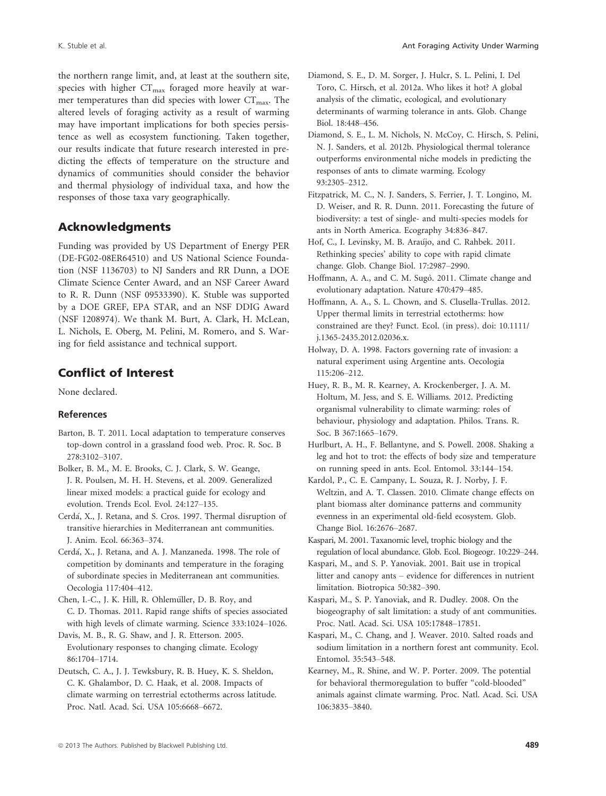the northern range limit, and, at least at the southern site, species with higher  $CT_{\text{max}}$  foraged more heavily at warmer temperatures than did species with lower  $CT_{\text{max}}$ . The altered levels of foraging activity as a result of warming may have important implications for both species persistence as well as ecosystem functioning. Taken together, our results indicate that future research interested in predicting the effects of temperature on the structure and dynamics of communities should consider the behavior and thermal physiology of individual taxa, and how the responses of those taxa vary geographically.

# Acknowledgments

Funding was provided by US Department of Energy PER (DE-FG02-08ER64510) and US National Science Foundation (NSF 1136703) to NJ Sanders and RR Dunn, a DOE Climate Science Center Award, and an NSF Career Award to R. R. Dunn (NSF 09533390). K. Stuble was supported by a DOE GREF, EPA STAR, and an NSF DDIG Award (NSF 1208974). We thank M. Burt, A. Clark, H. McLean, L. Nichols, E. Oberg, M. Pelini, M. Romero, and S. Waring for field assistance and technical support.

# Conflict of Interest

None declared.

# References

- Barton, B. T. 2011. Local adaptation to temperature conserves top-down control in a grassland food web. Proc. R. Soc. B 278:3102–3107.
- Bolker, B. M., M. E. Brooks, C. J. Clark, S. W. Geange, J. R. Poulsen, M. H. H. Stevens, et al. 2009. Generalized linear mixed models: a practical guide for ecology and evolution. Trends Ecol. Evol. 24:127–135.
- Cerda, X., J. Retana, and S. Cros. 1997. Thermal disruption of transitive hierarchies in Mediterranean ant communities. J. Anim. Ecol. 66:363–374.
- Cerda, X., J. Retana, and A. J. Manzaneda. 1998. The role of competition by dominants and temperature in the foraging of subordinate species in Mediterranean ant communities. Oecologia 117:404–412.
- Chen, I.-C., J. K. Hill, R. Ohlemüller, D. B. Roy, and C. D. Thomas. 2011. Rapid range shifts of species associated with high levels of climate warming. Science 333:1024–1026.
- Davis, M. B., R. G. Shaw, and J. R. Etterson. 2005. Evolutionary responses to changing climate. Ecology 86:1704–1714.
- Deutsch, C. A., J. J. Tewksbury, R. B. Huey, K. S. Sheldon, C. K. Ghalambor, D. C. Haak, et al. 2008. Impacts of climate warming on terrestrial ectotherms across latitude. Proc. Natl. Acad. Sci. USA 105:6668–6672.
- Diamond, S. E., D. M. Sorger, J. Hulcr, S. L. Pelini, I. Del Toro, C. Hirsch, et al. 2012a. Who likes it hot? A global analysis of the climatic, ecological, and evolutionary determinants of warming tolerance in ants. Glob. Change Biol. 18:448–456.
- Diamond, S. E., L. M. Nichols, N. McCoy, C. Hirsch, S. Pelini, N. J. Sanders, et al. 2012b. Physiological thermal tolerance outperforms environmental niche models in predicting the responses of ants to climate warming. Ecology 93:2305–2312.
- Fitzpatrick, M. C., N. J. Sanders, S. Ferrier, J. T. Longino, M. D. Weiser, and R. R. Dunn. 2011. Forecasting the future of biodiversity: a test of single- and multi-species models for ants in North America. Ecography 34:836–847.
- Hof, C., I. Levinsky, M. B. Araujo, and C. Rahbek. 2011. Rethinking species' ability to cope with rapid climate change. Glob. Change Biol. 17:2987–2990.
- Hoffmann, A. A., and C. M. Sugò. 2011. Climate change and evolutionary adaptation. Nature 470:479–485.
- Hoffmann, A. A., S. L. Chown, and S. Clusella-Trullas. 2012. Upper thermal limits in terrestrial ectotherms: how constrained are they? Funct. Ecol. (in press). doi: 10.1111/ j.1365-2435.2012.02036.x.
- Holway, D. A. 1998. Factors governing rate of invasion: a natural experiment using Argentine ants. Oecologia 115:206–212.
- Huey, R. B., M. R. Kearney, A. Krockenberger, J. A. M. Holtum, M. Jess, and S. E. Williams. 2012. Predicting organismal vulnerability to climate warming: roles of behaviour, physiology and adaptation. Philos. Trans. R. Soc. B 367:1665–1679.
- Hurlburt, A. H., F. Bellantyne, and S. Powell. 2008. Shaking a leg and hot to trot: the effects of body size and temperature on running speed in ants. Ecol. Entomol. 33:144–154.
- Kardol, P., C. E. Campany, L. Souza, R. J. Norby, J. F. Weltzin, and A. T. Classen. 2010. Climate change effects on plant biomass alter dominance patterns and community evenness in an experimental old-field ecosystem. Glob. Change Biol. 16:2676–2687.
- Kaspari, M. 2001. Taxanomic level, trophic biology and the regulation of local abundance. Glob. Ecol. Biogeogr. 10:229–244.
- Kaspari, M., and S. P. Yanoviak. 2001. Bait use in tropical litter and canopy ants – evidence for differences in nutrient limitation. Biotropica 50:382–390.
- Kaspari, M., S. P. Yanoviak, and R. Dudley. 2008. On the biogeography of salt limitation: a study of ant communities. Proc. Natl. Acad. Sci. USA 105:17848–17851.
- Kaspari, M., C. Chang, and J. Weaver. 2010. Salted roads and sodium limitation in a northern forest ant community. Ecol. Entomol. 35:543–548.
- Kearney, M., R. Shine, and W. P. Porter. 2009. The potential for behavioral thermoregulation to buffer "cold-blooded" animals against climate warming. Proc. Natl. Acad. Sci. USA 106:3835–3840.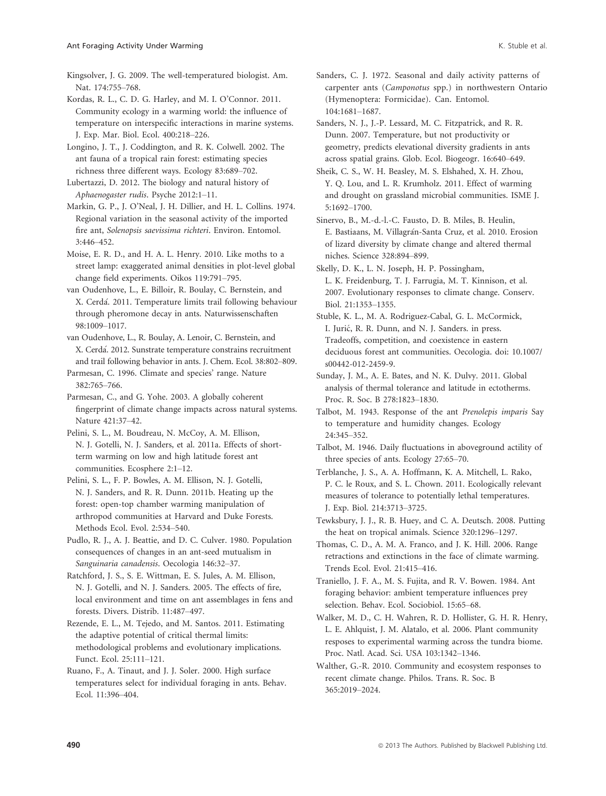Kingsolver, J. G. 2009. The well-temperatured biologist. Am. Nat. 174:755–768.

Kordas, R. L., C. D. G. Harley, and M. I. O'Connor. 2011. Community ecology in a warming world: the influence of temperature on interspecific interactions in marine systems. J. Exp. Mar. Biol. Ecol. 400:218–226.

Longino, J. T., J. Coddington, and R. K. Colwell. 2002. The ant fauna of a tropical rain forest: estimating species richness three different ways. Ecology 83:689–702.

Lubertazzi, D. 2012. The biology and natural history of Aphaenogaster rudis. Psyche 2012:1–11.

Markin, G. P., J. O'Neal, J. H. Dillier, and H. L. Collins. 1974. Regional variation in the seasonal activity of the imported fire ant, Solenopsis saevissima richteri. Environ. Entomol. 3:446–452.

Moise, E. R. D., and H. A. L. Henry. 2010. Like moths to a street lamp: exaggerated animal densities in plot-level global change field experiments. Oikos 119:791–795.

van Oudenhove, L., E. Billoir, R. Boulay, C. Bernstein, and X. Cerda. 2011. Temperature limits trail following behaviour through pheromone decay in ants. Naturwissenschaften 98:1009–1017.

van Oudenhove, L., R. Boulay, A. Lenoir, C. Bernstein, and X. Cerda. 2012. Sunstrate temperature constrains recruitment and trail following behavior in ants. J. Chem. Ecol. 38:802–809.

Parmesan, C. 1996. Climate and species' range. Nature 382:765–766.

Parmesan, C., and G. Yohe. 2003. A globally coherent fingerprint of climate change impacts across natural systems. Nature 421:37–42.

Pelini, S. L., M. Boudreau, N. McCoy, A. M. Ellison, N. J. Gotelli, N. J. Sanders, et al. 2011a. Effects of shortterm warming on low and high latitude forest ant communities. Ecosphere 2:1–12.

Pelini, S. L., F. P. Bowles, A. M. Ellison, N. J. Gotelli, N. J. Sanders, and R. R. Dunn. 2011b. Heating up the forest: open-top chamber warming manipulation of arthropod communities at Harvard and Duke Forests. Methods Ecol. Evol. 2:534–540.

Pudlo, R. J., A. J. Beattie, and D. C. Culver. 1980. Population consequences of changes in an ant-seed mutualism in Sanguinaria canadensis. Oecologia 146:32–37.

Ratchford, J. S., S. E. Wittman, E. S. Jules, A. M. Ellison, N. J. Gotelli, and N. J. Sanders. 2005. The effects of fire, local environment and time on ant assemblages in fens and forests. Divers. Distrib. 11:487–497.

Rezende, E. L., M. Tejedo, and M. Santos. 2011. Estimating the adaptive potential of critical thermal limits: methodological problems and evolutionary implications. Funct. Ecol. 25:111–121.

Ruano, F., A. Tinaut, and J. J. Soler. 2000. High surface temperatures select for individual foraging in ants. Behav. Ecol. 11:396–404.

Sanders, C. J. 1972. Seasonal and daily activity patterns of carpenter ants (Camponotus spp.) in northwestern Ontario (Hymenoptera: Formicidae). Can. Entomol. 104:1681–1687.

Sanders, N. J., J.-P. Lessard, M. C. Fitzpatrick, and R. R. Dunn. 2007. Temperature, but not productivity or geometry, predicts elevational diversity gradients in ants across spatial grains. Glob. Ecol. Biogeogr. 16:640–649.

Sheik, C. S., W. H. Beasley, M. S. Elshahed, X. H. Zhou, Y. Q. Lou, and L. R. Krumholz. 2011. Effect of warming and drought on grassland microbial communities. ISME J. 5:1692–1700.

Sinervo, B., M.-d.-l.-C. Fausto, D. B. Miles, B. Heulin, E. Bastiaans, M. Villagrán-Santa Cruz, et al. 2010. Erosion of lizard diversity by climate change and altered thermal niches. Science 328:894–899.

Skelly, D. K., L. N. Joseph, H. P. Possingham, L. K. Freidenburg, T. J. Farrugia, M. T. Kinnison, et al. 2007. Evolutionary responses to climate change. Conserv. Biol. 21:1353–1355.

Stuble, K. L., M. A. Rodriguez-Cabal, G. L. McCormick, I. Jurić, R. R. Dunn, and N. J. Sanders. in press. Tradeoffs, competition, and coexistence in eastern deciduous forest ant communities. Oecologia. doi: 10.1007/ s00442-012-2459-9.

Sunday, J. M., A. E. Bates, and N. K. Dulvy. 2011. Global analysis of thermal tolerance and latitude in ectotherms. Proc. R. Soc. B 278:1823–1830.

Talbot, M. 1943. Response of the ant Prenolepis imparis Say to temperature and humidity changes. Ecology 24:345–352.

Talbot, M. 1946. Daily fluctuations in aboveground actility of three species of ants. Ecology 27:65–70.

Terblanche, J. S., A. A. Hoffmann, K. A. Mitchell, L. Rako, P. C. le Roux, and S. L. Chown. 2011. Ecologically relevant measures of tolerance to potentially lethal temperatures. J. Exp. Biol. 214:3713–3725.

Tewksbury, J. J., R. B. Huey, and C. A. Deutsch. 2008. Putting the heat on tropical animals. Science 320:1296–1297.

Thomas, C. D., A. M. A. Franco, and J. K. Hill. 2006. Range retractions and extinctions in the face of climate warming. Trends Ecol. Evol. 21:415–416.

Traniello, J. F. A., M. S. Fujita, and R. V. Bowen. 1984. Ant foraging behavior: ambient temperature influences prey selection. Behav. Ecol. Sociobiol. 15:65–68.

Walker, M. D., C. H. Wahren, R. D. Hollister, G. H. R. Henry, L. E. Ahlquist, J. M. Alatalo, et al. 2006. Plant community resposes to experimental warming across the tundra biome. Proc. Natl. Acad. Sci. USA 103:1342–1346.

Walther, G.-R. 2010. Community and ecosystem responses to recent climate change. Philos. Trans. R. Soc. B 365:2019–2024.